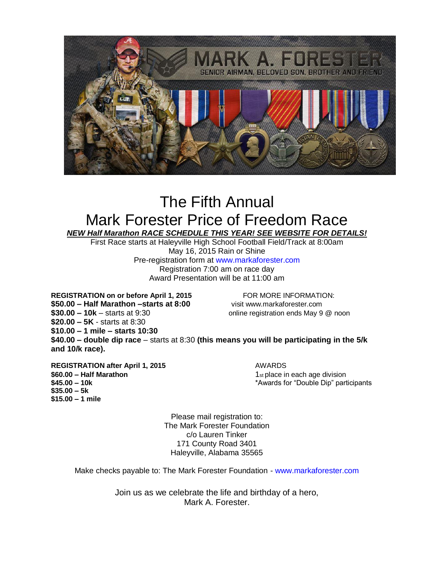

## The Fifth Annual Mark Forester Price of Freedom Race *NEW Half Marathon RACE SCHEDULE THIS YEAR! SEE WEBSITE FOR DETAILS!*

First Race starts at Haleyville High School Football Field/Track at 8:00am May 16, 2015 Rain or Shine Pre-registration form at www.markaforester.com Registration 7:00 am on race day Award Presentation will be at 11:00 am

**REGISTRATION on or before April 1, 2015** FOR MORE INFORMATION: **\$50.00 – Half Marathon –starts at 8:00** visit www.markaforester.com **\$30.00 – 10k** – starts at 9:30 online registration ends May 9 @ noon **\$20.00 – 5K** - starts at 8:30 **\$10.00 – 1 mile – starts 10:30 \$40.00 – double dip race** – starts at 8:30 **(this means you will be participating in the 5/k and 10/k race).** 

**REGISTRATION** after April 1, 2015 **AWARDS \$60.00 – Half Marathon**<br>**\$45.00 – 10k** and 1st place in each age division<br>**\$45.00 – 10k** and 10k and 10k and 10k and 10k and 10k and 10k and 10k and 10k and 10k and 10k and 10k and 10k and 10k and 10k and 10k and 10k and **\$35.00 – 5k \$15.00 – 1 mile**

**\$45.00 – 10k** \*Awards for "Double Dip" participants

Please mail registration to: The Mark Forester Foundation c/o Lauren Tinker 171 County Road 3401 Haleyville, Alabama 35565

Make checks payable to: The Mark Forester Foundation - www.markaforester.com

Join us as we celebrate the life and birthday of a hero, Mark A. Forester.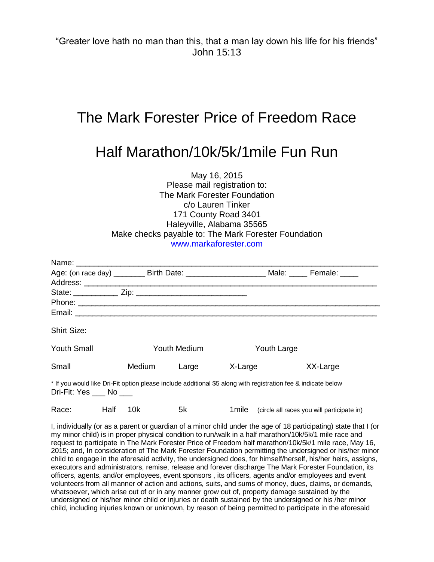"Greater love hath no man than this, that a man lay down his life for his friends" John 15:13

## The Mark Forester Price of Freedom Race

## Half Marathon/10k/5k/1mile Fun Run

May 16, 2015 Please mail registration to: The Mark Forester Foundation c/o Lauren Tinker 171 County Road 3401 Haleyville, Alabama 35565 Make checks payable to: The Mark Forester Foundation www.markaforester.com

| Age: (on race day) _________ Birth Date: _________________________ Male: ______ Female: _____                                            |              |       |             |          |  |  |
|------------------------------------------------------------------------------------------------------------------------------------------|--------------|-------|-------------|----------|--|--|
|                                                                                                                                          |              |       |             |          |  |  |
|                                                                                                                                          |              |       |             |          |  |  |
|                                                                                                                                          |              |       |             |          |  |  |
|                                                                                                                                          |              |       |             |          |  |  |
| <b>Shirt Size:</b>                                                                                                                       |              |       |             |          |  |  |
| <b>Youth Small</b>                                                                                                                       | Youth Medium |       | Youth Large |          |  |  |
| Small                                                                                                                                    | Medium       | Large | X-Large     | XX-Large |  |  |
| * If you would like Dri-Fit option please include additional \$5 along with registration fee & indicate below<br>Dri-Fit: Yes ___ No ___ |              |       |             |          |  |  |

| Race: | Half 10k |  |  |  | 1 mile (circle all races you will participate in) |
|-------|----------|--|--|--|---------------------------------------------------|
|-------|----------|--|--|--|---------------------------------------------------|

I, individually (or as a parent or guardian of a minor child under the age of 18 participating) state that I (or my minor child) is in proper physical condition to run/walk in a half marathon/10k/5k/1 mile race and request to participate in The Mark Forester Price of Freedom half marathon/10k/5k/1 mile race, May 16, 2015; and, In consideration of The Mark Forester Foundation permitting the undersigned or his/her minor child to engage in the aforesaid activity, the undersigned does, for himself/herself, his/her heirs, assigns, executors and administrators, remise, release and forever discharge The Mark Forester Foundation, its officers, agents, and/or employees, event sponsors , its officers, agents and/or employees and event volunteers from all manner of action and actions, suits, and sums of money, dues, claims, or demands, whatsoever, which arise out of or in any manner grow out of, property damage sustained by the undersigned or his/her minor child or injuries or death sustained by the undersigned or his /her minor child, including injuries known or unknown, by reason of being permitted to participate in the aforesaid